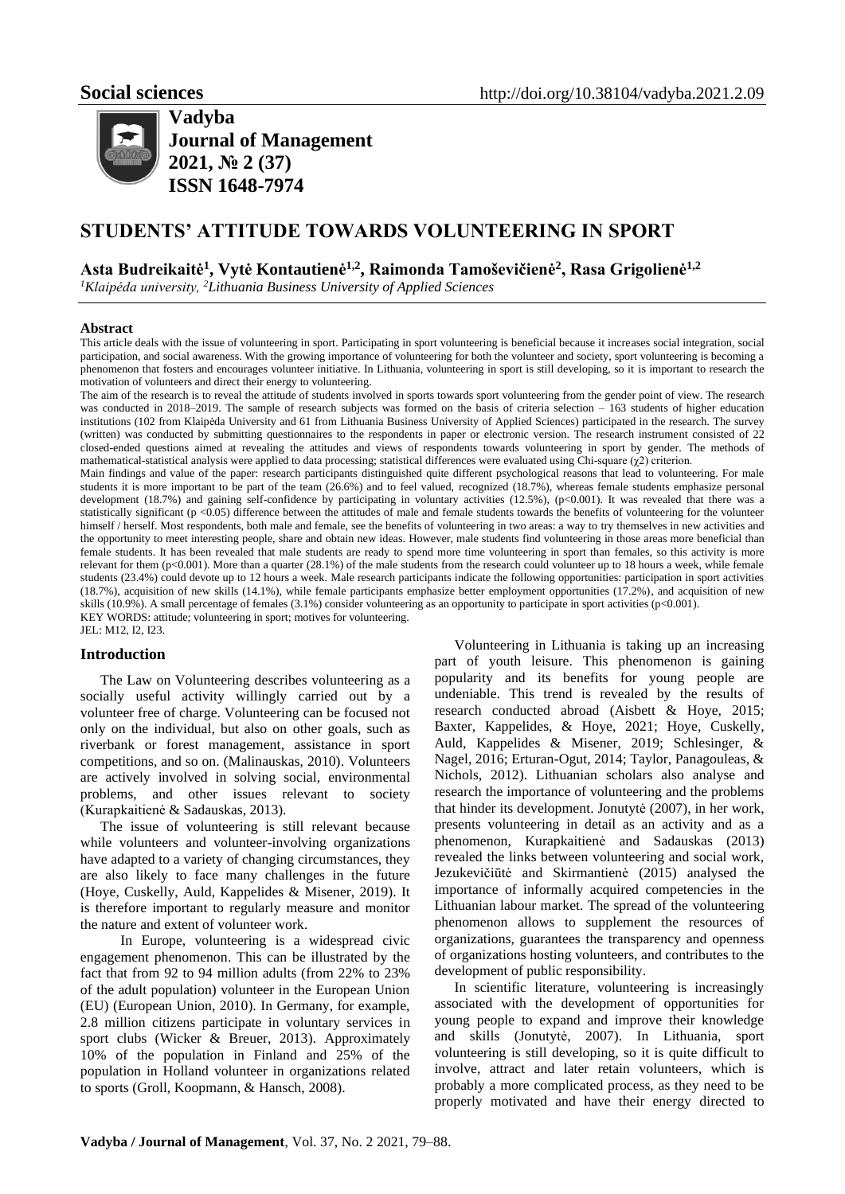

**Vadyba Journal of Management 2021, № 2 (37) ISSN 1648-7974**

# **STUDENTS' ATTITUDE TOWARDS VOLUNTEERING IN SPORT**

# **Asta Budreikaitė<sup>1</sup> , Vytė Kontautienė1,2 , Raimonda Tamoševičienė<sup>2</sup> , Rasa Grigolienė1,2**

*<sup>1</sup>Klaipėda university, <sup>2</sup>Lithuania Business University of Applied Sciences*

### **Abstract**

This article deals with the issue of volunteering in sport. Participating in sport volunteering is beneficial because it increases social integration, social participation, and social awareness. With the growing importance of volunteering for both the volunteer and society, sport volunteering is becoming a phenomenon that fosters and encourages volunteer initiative. In Lithuania, volunteering in sport is still developing, so it is important to research the motivation of volunteers and direct their energy to volunteering.

The aim of the research is to reveal the attitude of students involved in sports towards sport volunteering from the gender point of view. The research was conducted in 2018–2019. The sample of research subjects was formed on the basis of criteria selection – 163 students of higher education institutions (102 from Klaipėda University and 61 from Lithuania Business University of Applied Sciences) participated in the research. The survey (written) was conducted by submitting questionnaires to the respondents in paper or electronic version. The research instrument consisted of 22 closed-ended questions aimed at revealing the attitudes and views of respondents towards volunteering in sport by gender. The methods of mathematical-statistical analysis were applied to data processing; statistical differences were evaluated using Chi-square (χ2) criterion. Main findings and value of the paper: research participants distinguished quite different psychological reasons that lead to volunteering. For male students it is more important to be part of the team (26.6%) and to feel valued, recognized (18.7%), whereas female students emphasize personal development (18.7%) and gaining self-confidence by participating in voluntary activities (12.5%), (p<0.001). It was revealed that there was a statistically significant ( $p < 0.05$ ) difference between the attitudes of male and female students towards the benefits of volunteering for the volunteer himself / herself. Most respondents, both male and female, see the benefits of volunteering in two areas: a way to try themselves in new activities and the opportunity to meet interesting people, share and obtain new ideas. However, male students find volunteering in those areas more beneficial than female students. It has been revealed that male students are ready to spend more time volunteering in sport than females, so this activity is more relevant for them (p<0.001). More than a quarter (28.1%) of the male students from the research could volunteer up to 18 hours a week, while female students (23.4%) could devote up to 12 hours a week. Male research participants indicate the following opportunities: participation in sport activities (18.7%), acquisition of new skills (14.1%), while female participants emphasize better employment opportunities (17.2%), and acquisition of new skills (10.9%). A small percentage of females (3.1%) consider volunteering as an opportunity to participate in sport activities (p<0.001). KEY WORDS: attitude; volunteering in sport; motives for volunteering. JEL: M12, I2, I23.

# **Introduction**

The Law on Volunteering describes volunteering as a socially useful activity willingly carried out by a volunteer free of charge. Volunteering can be focused not only on the individual, but also on other goals, such as riverbank or forest management, assistance in sport competitions, and so on. (Malinauskas, 2010). Volunteers are actively involved in solving social, environmental problems, and other issues relevant to society (Kurapkaitienė & Sadauskas, 2013).

The issue of volunteering is still relevant because while volunteers and volunteer-involving organizations have adapted to a variety of changing circumstances, they are also likely to face many challenges in the future (Hoye, Cuskelly, Auld, Kappelides & Misener, 2019). It is therefore important to regularly measure and monitor the nature and extent of volunteer work.

In Europe, volunteering is a widespread civic engagement phenomenon. This can be illustrated by the fact that from 92 to 94 million adults (from 22% to 23% of the adult population) volunteer in the European Union (EU) (European Union, 2010). In Germany, for example, 2.8 million citizens participate in voluntary services in sport clubs (Wicker & Breuer, 2013). Approximately 10% of the population in Finland and 25% of the population in Holland volunteer in organizations related to sports (Groll, Koopmann, & Hansch, 2008).

Volunteering in Lithuania is taking up an increasing part of youth leisure. This phenomenon is gaining popularity and its benefits for young people are undeniable. This trend is revealed by the results of research conducted abroad (Aisbett & Hoye, 2015; [Baxter,](https://www.tandfonline.com/author/Baxter%2C+Haley) [Kappelides,](https://www.tandfonline.com/author/Kappelides%2C+Pam) & [Hoye,](https://www.tandfonline.com/author/Hoye%2C+Russell) 2021; Hoye, Cuskelly, Auld, Kappelides & Misener, 2019; Schlesinger, & Nagel, 2016; Erturan-Ogut, 2014; Taylor, Panagouleas, & Nichols, 2012). Lithuanian scholars also analyse and research the importance of volunteering and the problems that hinder its development. Jonutytė (2007), in her work, presents volunteering in detail as an activity and as a phenomenon, Kurapkaitienė and Sadauskas (2013) revealed the links between volunteering and social work, Jezukevičiūtė and Skirmantienė (2015) analysed the importance of informally acquired competencies in the Lithuanian labour market. The spread of the volunteering phenomenon allows to supplement the resources of organizations, guarantees the transparency and openness of organizations hosting volunteers, and contributes to the development of public responsibility.

In scientific literature, volunteering is increasingly associated with the development of opportunities for young people to expand and improve their knowledge and skills (Jonutytė, 2007). In Lithuania, sport volunteering is still developing, so it is quite difficult to involve, attract and later retain volunteers, which is probably a more complicated process, as they need to be properly motivated and have their energy directed to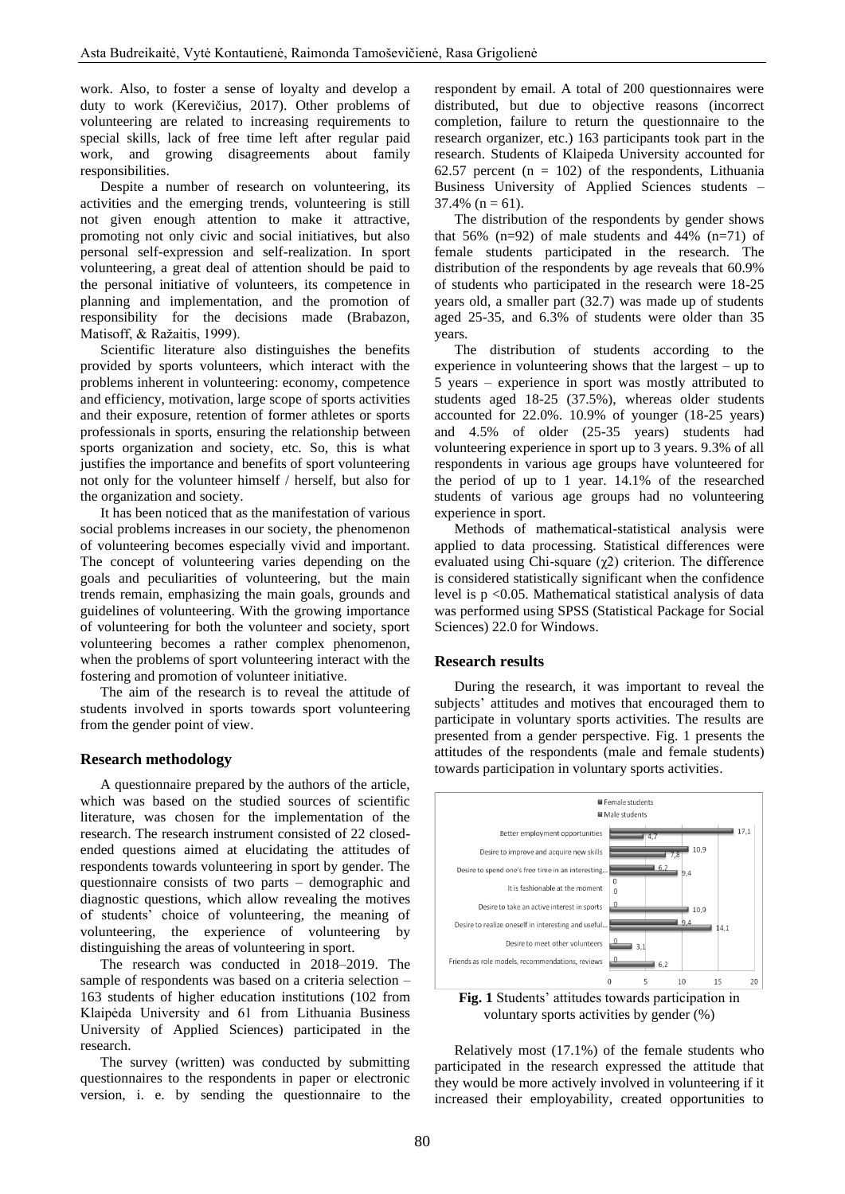work. Also, to foster a sense of loyalty and develop a duty to work (Kerevičius, 2017). Other problems of volunteering are related to increasing requirements to special skills, lack of free time left after regular paid work, and growing disagreements about family responsibilities.

Despite a number of research on volunteering, its activities and the emerging trends, volunteering is still not given enough attention to make it attractive, promoting not only civic and social initiatives, but also personal self-expression and self-realization. In sport volunteering, a great deal of attention should be paid to the personal initiative of volunteers, its competence in planning and implementation, and the promotion of responsibility for the decisions made (Brabazon, Matisoff, & Ražaitis, 1999).

Scientific literature also distinguishes the benefits provided by sports volunteers, which interact with the problems inherent in volunteering: economy, competence and efficiency, motivation, large scope of sports activities and their exposure, retention of former athletes or sports professionals in sports, ensuring the relationship between sports organization and society, etc. So, this is what justifies the importance and benefits of sport volunteering not only for the volunteer himself / herself, but also for the organization and society.

It has been noticed that as the manifestation of various social problems increases in our society, the phenomenon of volunteering becomes especially vivid and important. The concept of volunteering varies depending on the goals and peculiarities of volunteering, but the main trends remain, emphasizing the main goals, grounds and guidelines of volunteering. With the growing importance of volunteering for both the volunteer and society, sport volunteering becomes a rather complex phenomenon, when the problems of sport volunteering interact with the fostering and promotion of volunteer initiative.

The aim of the research is to reveal the attitude of students involved in sports towards sport volunteering from the gender point of view.

# **Research methodology**

A questionnaire prepared by the authors of the article, which was based on the studied sources of scientific literature, was chosen for the implementation of the research. The research instrument consisted of 22 closedended questions aimed at elucidating the attitudes of respondents towards volunteering in sport by gender. The questionnaire consists of two parts – demographic and diagnostic questions, which allow revealing the motives of students' choice of volunteering, the meaning of volunteering, the experience of volunteering by distinguishing the areas of volunteering in sport.

The research was conducted in 2018–2019. The sample of respondents was based on a criteria selection – 163 students of higher education institutions (102 from Klaipėda University and 61 from Lithuania Business University of Applied Sciences) participated in the research.

The survey (written) was conducted by submitting questionnaires to the respondents in paper or electronic version, i. e. by sending the questionnaire to the respondent by email. A total of 200 questionnaires were distributed, but due to objective reasons (incorrect completion, failure to return the questionnaire to the research organizer, etc.) 163 participants took part in the research. Students of Klaipeda University accounted for 62.57 percent  $(n = 102)$  of the respondents, Lithuania Business University of Applied Sciences students –  $37.4\%$  (n = 61).

The distribution of the respondents by gender shows that 56%  $(n=92)$  of male students and 44%  $(n=71)$  of female students participated in the research. The distribution of the respondents by age reveals that 60.9% of students who participated in the research were 18-25 years old, a smaller part (32.7) was made up of students aged 25-35, and 6.3% of students were older than 35 years.

The distribution of students according to the experience in volunteering shows that the largest – up to 5 years – experience in sport was mostly attributed to students aged 18-25 (37.5%), whereas older students accounted for 22.0%. 10.9% of younger (18-25 years) and 4.5% of older (25-35 years) students had volunteering experience in sport up to 3 years. 9.3% of all respondents in various age groups have volunteered for the period of up to 1 year. 14.1% of the researched students of various age groups had no volunteering experience in sport.

Methods of mathematical-statistical analysis were applied to data processing. Statistical differences were evaluated using Chi-square  $(\chi^2)$  criterion. The difference is considered statistically significant when the confidence level is p <0.05. Mathematical statistical analysis of data was performed using SPSS (Statistical Package for Social Sciences) 22.0 for Windows.

## **Research results**

During the research, it was important to reveal the subjects' attitudes and motives that encouraged them to participate in voluntary sports activities. The results are presented from a gender perspective. Fig. 1 presents the attitudes of the respondents (male and female students) towards participation in voluntary sports activities.



voluntary sports activities by gender (%)

Relatively most (17.1%) of the female students who participated in the research expressed the attitude that they would be more actively involved in volunteering if it increased their employability, created opportunities to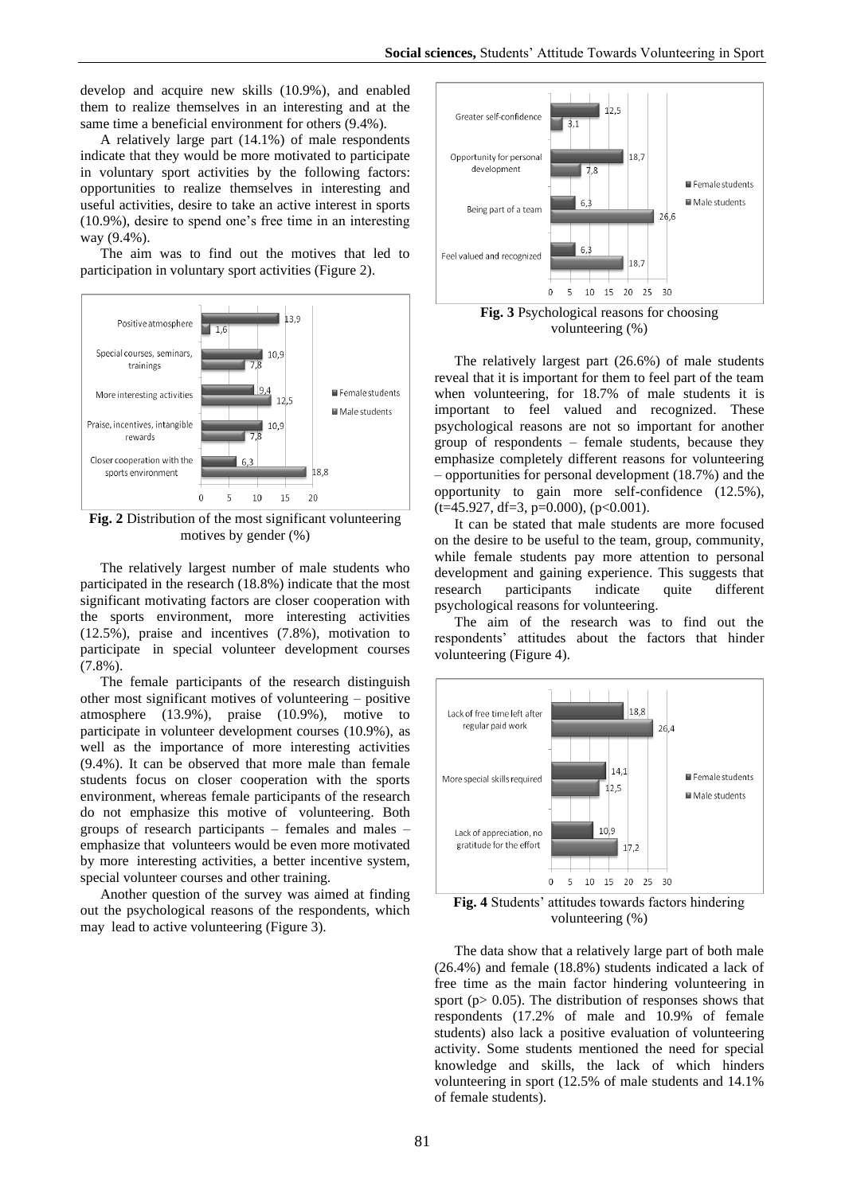develop and acquire new skills (10.9%), and enabled them to realize themselves in an interesting and at the same time a beneficial environment for others (9.4%).

A relatively large part (14.1%) of male respondents indicate that they would be more motivated to participate in voluntary sport activities by the following factors: opportunities to realize themselves in interesting and useful activities, desire to take an active interest in sports (10.9%), desire to spend one's free time in an interesting way (9.4%).

The aim was to find out the motives that led to participation in voluntary sport activities (Figure 2).



**Fig. 2** Distribution of the most significant volunteering motives by gender (%)

The relatively largest number of male students who participated in the research (18.8%) indicate that the most significant motivating factors are closer cooperation with the sports environment, more interesting activities (12.5%), praise and incentives (7.8%), motivation to participate in special volunteer development courses (7.8%).

The female participants of the research distinguish other most significant motives of volunteering – positive atmosphere (13.9%), praise (10.9%), motive to participate in volunteer development courses (10.9%), as well as the importance of more interesting activities (9.4%). It can be observed that more male than female students focus on closer cooperation with the sports environment, whereas female participants of the research do not emphasize this motive of volunteering. Both groups of research participants – females and males – emphasize that volunteers would be even more motivated by more interesting activities, a better incentive system, special volunteer courses and other training.

Another question of the survey was aimed at finding out the psychological reasons of the respondents, which may lead to active volunteering (Figure 3).



**Fig. 3** Psychological reasons for choosing volunteering (%)

The relatively largest part (26.6%) of male students reveal that it is important for them to feel part of the team when volunteering, for 18.7% of male students it is important to feel valued and recognized. These psychological reasons are not so important for another group of respondents – female students, because they emphasize completely different reasons for volunteering – opportunities for personal development (18.7%) and the opportunity to gain more self-confidence (12.5%),  $(t=45.927, df=3, p=0.000), (p<0.001).$ 

It can be stated that male students are more focused on the desire to be useful to the team, group, community, while female students pay more attention to personal development and gaining experience. This suggests that research participants indicate quite different psychological reasons for volunteering.

The aim of the research was to find out the respondents' attitudes about the factors that hinder volunteering (Figure 4).



**Fig. 4** Students' attitudes towards factors hindering volunteering (%)

The data show that a relatively large part of both male (26.4%) and female (18.8%) students indicated a lack of free time as the main factor hindering volunteering in sport ( $p$  > 0.05). The distribution of responses shows that respondents (17.2% of male and 10.9% of female students) also lack a positive evaluation of volunteering activity. Some students mentioned the need for special knowledge and skills, the lack of which hinders volunteering in sport (12.5% of male students and 14.1% of female students).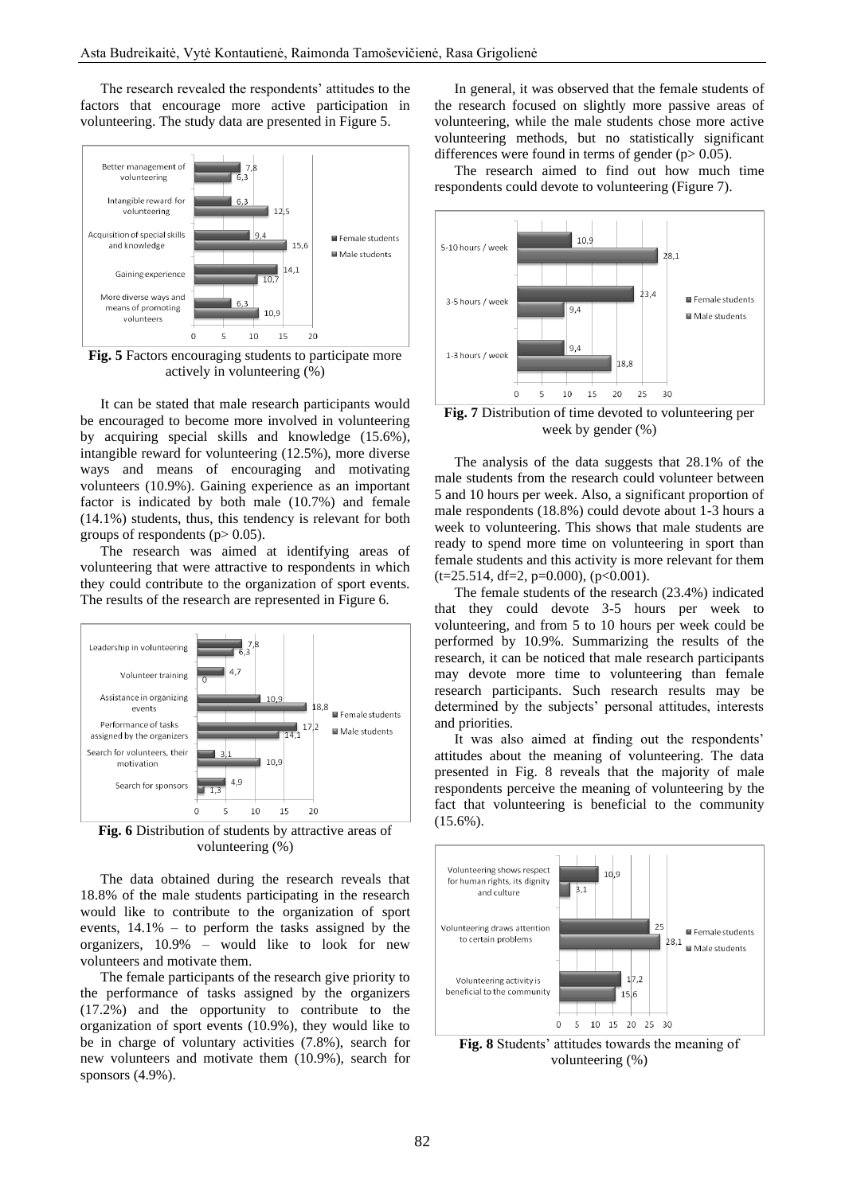The research revealed the respondents' attitudes to the factors that encourage more active participation in volunteering. The study data are presented in Figure 5.



**Fig. 5** Factors encouraging students to participate more actively in volunteering (%)

It can be stated that male research participants would be encouraged to become more involved in volunteering by acquiring special skills and knowledge (15.6%), intangible reward for volunteering (12.5%), more diverse ways and means of encouraging and motivating volunteers (10.9%). Gaining experience as an important factor is indicated by both male (10.7%) and female (14.1%) students, thus, this tendency is relevant for both groups of respondents ( $p > 0.05$ ).

The research was aimed at identifying areas of volunteering that were attractive to respondents in which they could contribute to the organization of sport events. The results of the research are represented in Figure 6.



**Fig. 6** Distribution of students by attractive areas of volunteering (%)

The data obtained during the research reveals that 18.8% of the male students participating in the research would like to contribute to the organization of sport events, 14.1% – to perform the tasks assigned by the organizers, 10.9% – would like to look for new volunteers and motivate them.

The female participants of the research give priority to the performance of tasks assigned by the organizers (17.2%) and the opportunity to contribute to the organization of sport events (10.9%), they would like to be in charge of voluntary activities (7.8%), search for new volunteers and motivate them (10.9%), search for sponsors (4.9%).

In general, it was observed that the female students of the research focused on slightly more passive areas of volunteering, while the male students chose more active volunteering methods, but no statistically significant differences were found in terms of gender ( $p > 0.05$ ).

The research aimed to find out how much time respondents could devote to volunteering (Figure 7).



**Fig. 7** Distribution of time devoted to volunteering per week by gender (%)

The analysis of the data suggests that 28.1% of the male students from the research could volunteer between 5 and 10 hours per week. Also, a significant proportion of male respondents (18.8%) could devote about 1-3 hours a week to volunteering. This shows that male students are ready to spend more time on volunteering in sport than female students and this activity is more relevant for them  $(t=25.514, df=2, p=0.000), (p<0.001).$ 

The female students of the research (23.4%) indicated that they could devote 3-5 hours per week to volunteering, and from 5 to 10 hours per week could be performed by 10.9%. Summarizing the results of the research, it can be noticed that male research participants may devote more time to volunteering than female research participants. Such research results may be determined by the subjects' personal attitudes, interests and priorities.

It was also aimed at finding out the respondents' attitudes about the meaning of volunteering. The data presented in Fig. 8 reveals that the majority of male respondents perceive the meaning of volunteering by the fact that volunteering is beneficial to the community  $(15.6\%)$ .



**Fig. 8** Students' attitudes towards the meaning of volunteering (%)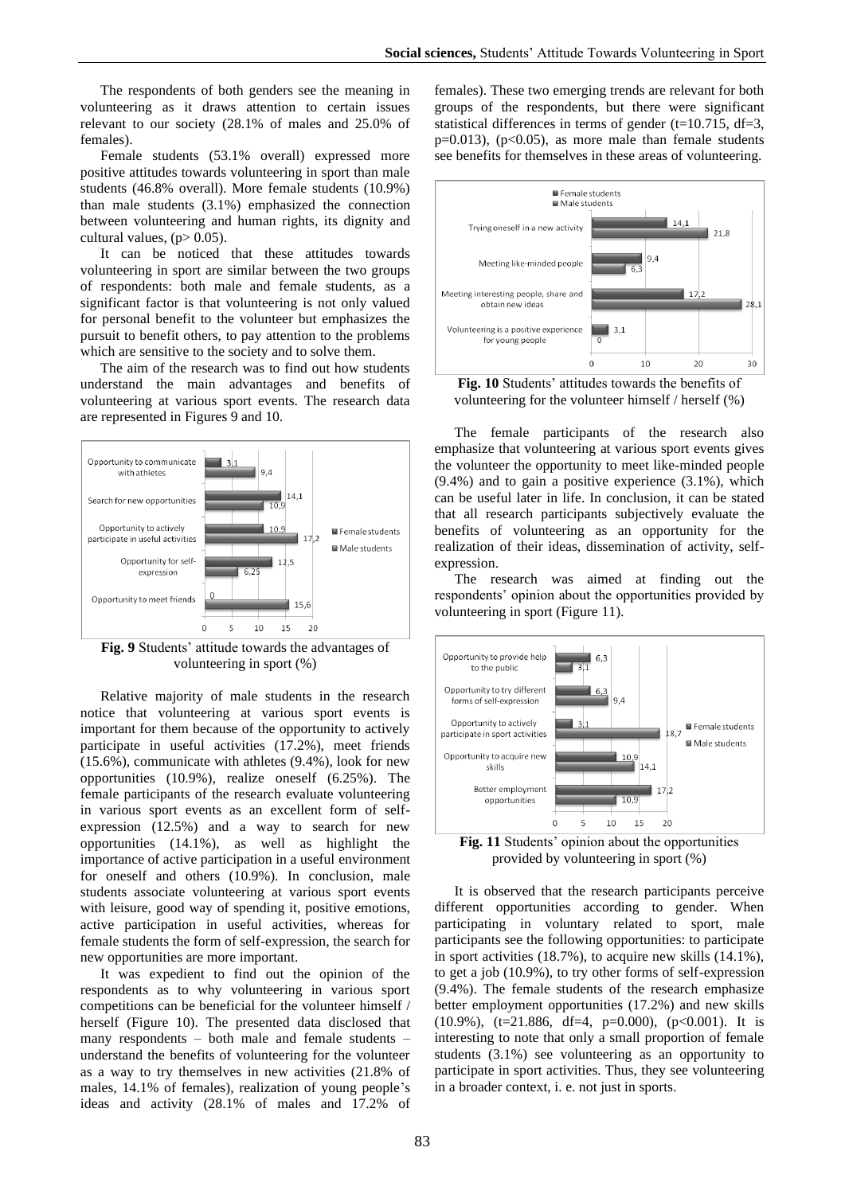The respondents of both genders see the meaning in volunteering as it draws attention to certain issues relevant to our society (28.1% of males and 25.0% of females).

Female students (53.1% overall) expressed more positive attitudes towards volunteering in sport than male students (46.8% overall). More female students (10.9%) than male students (3.1%) emphasized the connection between volunteering and human rights, its dignity and cultural values,  $(p> 0.05)$ .

It can be noticed that these attitudes towards volunteering in sport are similar between the two groups of respondents: both male and female students, as a significant factor is that volunteering is not only valued for personal benefit to the volunteer but emphasizes the pursuit to benefit others, to pay attention to the problems which are sensitive to the society and to solve them.

The aim of the research was to find out how students understand the main advantages and benefits of volunteering at various sport events. The research data are represented in Figures 9 and 10.



**Fig. 9** Students' attitude towards the advantages of volunteering in sport (%)

Relative majority of male students in the research notice that volunteering at various sport events is important for them because of the opportunity to actively participate in useful activities (17.2%), meet friends (15.6%), communicate with athletes (9.4%), look for new opportunities (10.9%), realize oneself (6.25%). The female participants of the research evaluate volunteering in various sport events as an excellent form of selfexpression (12.5%) and a way to search for new opportunities (14.1%), as well as highlight the importance of active participation in a useful environment for oneself and others (10.9%). In conclusion, male students associate volunteering at various sport events with leisure, good way of spending it, positive emotions, active participation in useful activities, whereas for female students the form of self-expression, the search for new opportunities are more important.

It was expedient to find out the opinion of the respondents as to why volunteering in various sport competitions can be beneficial for the volunteer himself / herself (Figure 10). The presented data disclosed that many respondents – both male and female students – understand the benefits of volunteering for the volunteer as a way to try themselves in new activities (21.8% of males, 14.1% of females), realization of young people's ideas and activity (28.1% of males and 17.2% of

females). These two emerging trends are relevant for both groups of the respondents, but there were significant statistical differences in terms of gender ( $t=10.715$ ,  $df=3$ ,  $p=0.013$ ), ( $p<0.05$ ), as more male than female students see benefits for themselves in these areas of volunteering.



**Fig. 10** Students' attitudes towards the benefits of volunteering for the volunteer himself / herself (%)

The female participants of the research also emphasize that volunteering at various sport events gives the volunteer the opportunity to meet like-minded people  $(9.4\%)$  and to gain a positive experience  $(3.1\%)$ , which can be useful later in life. In conclusion, it can be stated that all research participants subjectively evaluate the benefits of volunteering as an opportunity for the realization of their ideas, dissemination of activity, selfexpression.

The research was aimed at finding out the respondents' opinion about the opportunities provided by volunteering in sport (Figure 11).



**Fig. 11** Students' opinion about the opportunities provided by volunteering in sport (%)

It is observed that the research participants perceive different opportunities according to gender. When participating in voluntary related to sport, male participants see the following opportunities: to participate in sport activities (18.7%), to acquire new skills (14.1%), to get a job (10.9%), to try other forms of self-expression (9.4%). The female students of the research emphasize better employment opportunities (17.2%) and new skills  $(10.9\%)$ ,  $(t=21.886$ ,  $df=4$ ,  $p=0.000$ ),  $(p<0.001)$ . It is interesting to note that only a small proportion of female students (3.1%) see volunteering as an opportunity to participate in sport activities. Thus, they see volunteering in a broader context, i. e. not just in sports.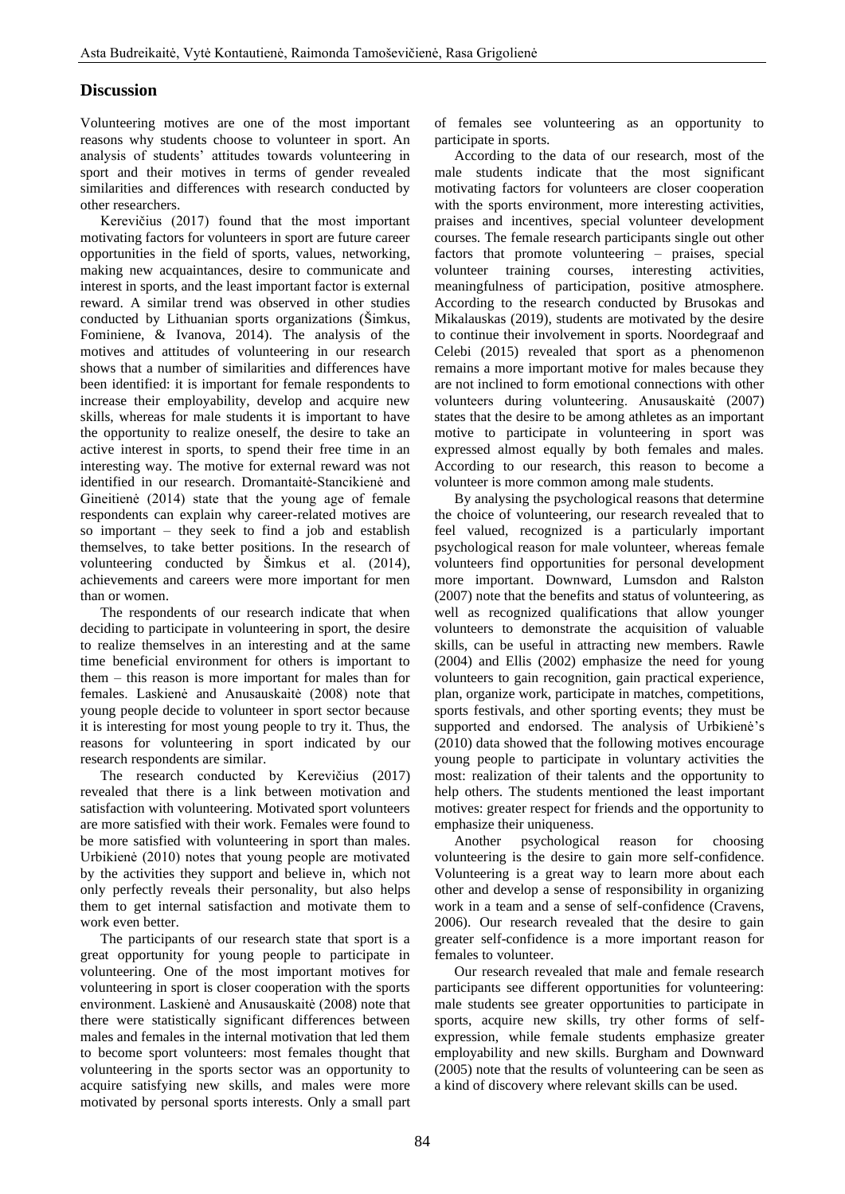# **Discussion**

Volunteering motives are one of the most important reasons why students choose to volunteer in sport. An analysis of students' attitudes towards volunteering in sport and their motives in terms of gender revealed similarities and differences with research conducted by other researchers.

Kerevičius (2017) found that the most important motivating factors for volunteers in sport are future career opportunities in the field of sports, values, networking, making new acquaintances, desire to communicate and interest in sports, and the least important factor is external reward. A similar trend was observed in other studies conducted by Lithuanian sports organizations (Šimkus, Fominiene, & Ivanova, 2014). The analysis of the motives and attitudes of volunteering in our research shows that a number of similarities and differences have been identified: it is important for female respondents to increase their employability, develop and acquire new skills, whereas for male students it is important to have the opportunity to realize oneself, the desire to take an active interest in sports, to spend their free time in an interesting way. The motive for external reward was not identified in our research. Dromantaitė-Stancikienė and Gineitienė (2014) state that the young age of female respondents can explain why career-related motives are so important – they seek to find a job and establish themselves, to take better positions. In the research of volunteering conducted by Šimkus et al. (2014), achievements and careers were more important for men than or women.

The respondents of our research indicate that when deciding to participate in volunteering in sport, the desire to realize themselves in an interesting and at the same time beneficial environment for others is important to them – this reason is more important for males than for females. Laskienė and Anusauskaitė (2008) note that young people decide to volunteer in sport sector because it is interesting for most young people to try it. Thus, the reasons for volunteering in sport indicated by our research respondents are similar.

The research conducted by Kerevičius (2017) revealed that there is a link between motivation and satisfaction with volunteering. Motivated sport volunteers are more satisfied with their work. Females were found to be more satisfied with volunteering in sport than males. Urbikienė (2010) notes that young people are motivated by the activities they support and believe in, which not only perfectly reveals their personality, but also helps them to get internal satisfaction and motivate them to work even better.

The participants of our research state that sport is a great opportunity for young people to participate in volunteering. One of the most important motives for volunteering in sport is closer cooperation with the sports environment. Laskienė and Anusauskaitė (2008) note that there were statistically significant differences between males and females in the internal motivation that led them to become sport volunteers: most females thought that volunteering in the sports sector was an opportunity to acquire satisfying new skills, and males were more motivated by personal sports interests. Only a small part

of females see volunteering as an opportunity to participate in sports.

According to the data of our research, most of the male students indicate that the most significant motivating factors for volunteers are closer cooperation with the sports environment, more interesting activities, praises and incentives, special volunteer development courses. The female research participants single out other factors that promote volunteering – praises, special volunteer training courses, interesting activities, meaningfulness of participation, positive atmosphere. According to the research conducted by Brusokas and Mikalauskas (2019), students are motivated by the desire to continue their involvement in sports. Noordegraaf and Celebi (2015) revealed that sport as a phenomenon remains a more important motive for males because they are not inclined to form emotional connections with other volunteers during volunteering. Anusauskaitė (2007) states that the desire to be among athletes as an important motive to participate in volunteering in sport was expressed almost equally by both females and males. According to our research, this reason to become a volunteer is more common among male students.

By analysing the psychological reasons that determine the choice of volunteering, our research revealed that to feel valued, recognized is a particularly important psychological reason for male volunteer, whereas female volunteers find opportunities for personal development more important. Downward, Lumsdon and Ralston (2007) note that the benefits and status of volunteering, as well as recognized qualifications that allow younger volunteers to demonstrate the acquisition of valuable skills, can be useful in attracting new members. Rawle (2004) and Ellis (2002) emphasize the need for young volunteers to gain recognition, gain practical experience, plan, organize work, participate in matches, competitions, sports festivals, and other sporting events; they must be supported and endorsed. The analysis of Urbikienė's (2010) data showed that the following motives encourage young people to participate in voluntary activities the most: realization of their talents and the opportunity to help others. The students mentioned the least important motives: greater respect for friends and the opportunity to emphasize their uniqueness.

Another psychological reason for choosing volunteering is the desire to gain more self-confidence. Volunteering is a great way to learn more about each other and develop a sense of responsibility in organizing work in a team and a sense of self-confidence (Cravens, 2006). Our research revealed that the desire to gain greater self-confidence is a more important reason for females to volunteer.

Our research revealed that male and female research participants see different opportunities for volunteering: male students see greater opportunities to participate in sports, acquire new skills, try other forms of selfexpression, while female students emphasize greater employability and new skills. Burgham and Downward (2005) note that the results of volunteering can be seen as a kind of discovery where relevant skills can be used.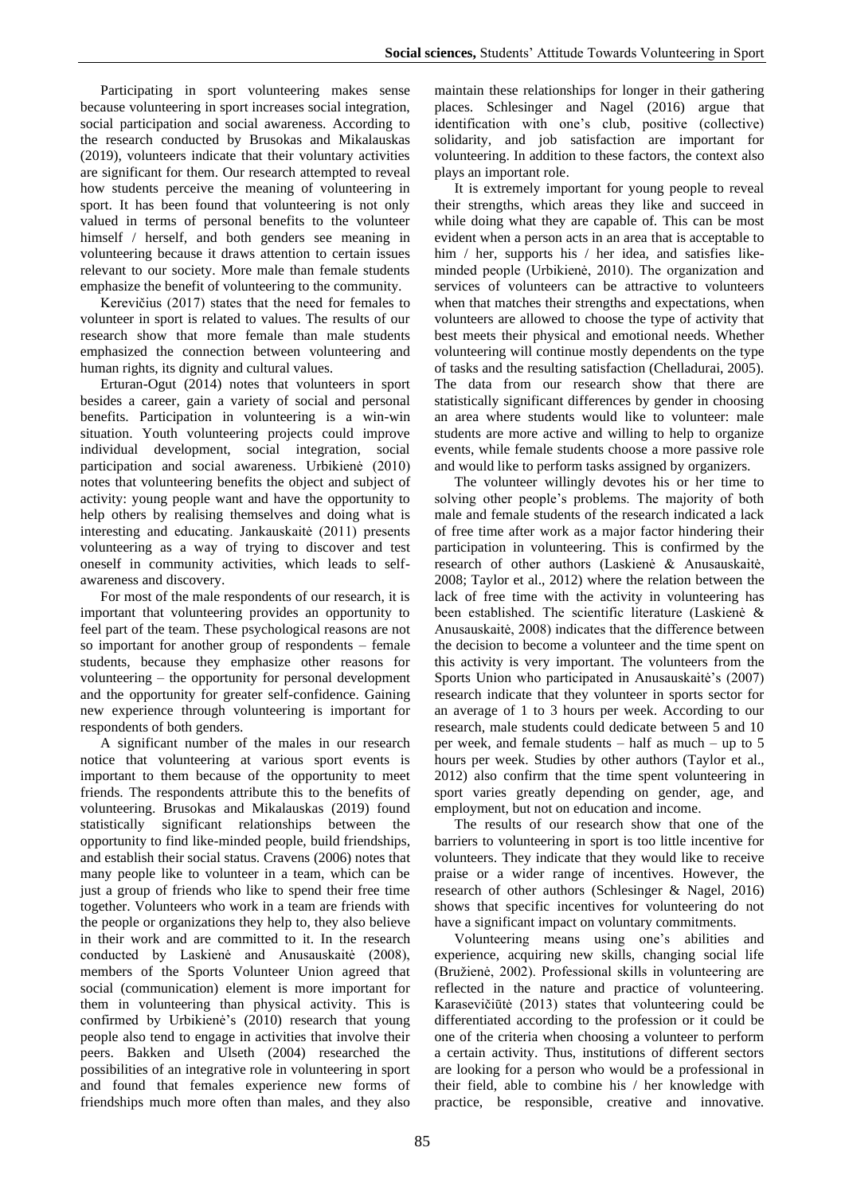Participating in sport volunteering makes sense because volunteering in sport increases social integration, social participation and social awareness. According to the research conducted by Brusokas and Mikalauskas (2019), volunteers indicate that their voluntary activities are significant for them. Our research attempted to reveal how students perceive the meaning of volunteering in sport. It has been found that volunteering is not only valued in terms of personal benefits to the volunteer himself / herself, and both genders see meaning in volunteering because it draws attention to certain issues relevant to our society. More male than female students emphasize the benefit of volunteering to the community.

Kerevičius (2017) states that the need for females to volunteer in sport is related to values. The results of our research show that more female than male students emphasized the connection between volunteering and human rights, its dignity and cultural values.

Erturan-Ogut (2014) notes that volunteers in sport besides a career, gain a variety of social and personal benefits. Participation in volunteering is a win-win situation. Youth volunteering projects could improve individual development, social integration, social participation and social awareness. Urbikienė (2010) notes that volunteering benefits the object and subject of activity: young people want and have the opportunity to help others by realising themselves and doing what is interesting and educating. Jankauskaitė (2011) presents volunteering as a way of trying to discover and test oneself in community activities, which leads to selfawareness and discovery.

For most of the male respondents of our research, it is important that volunteering provides an opportunity to feel part of the team. These psychological reasons are not so important for another group of respondents – female students, because they emphasize other reasons for volunteering – the opportunity for personal development and the opportunity for greater self-confidence. Gaining new experience through volunteering is important for respondents of both genders.

A significant number of the males in our research notice that volunteering at various sport events is important to them because of the opportunity to meet friends. The respondents attribute this to the benefits of volunteering. Brusokas and Mikalauskas (2019) found statistically significant relationships between the opportunity to find like-minded people, build friendships, and establish their social status. Cravens (2006) notes that many people like to volunteer in a team, which can be just a group of friends who like to spend their free time together. Volunteers who work in a team are friends with the people or organizations they help to, they also believe in their work and are committed to it. In the research conducted by Laskienė and Anusauskaitė (2008), members of the Sports Volunteer Union agreed that social (communication) element is more important for them in volunteering than physical activity. This is confirmed by Urbikienė's (2010) research that young people also tend to engage in activities that involve their peers. Bakken and Ulseth (2004) researched the possibilities of an integrative role in volunteering in sport and found that females experience new forms of friendships much more often than males, and they also

maintain these relationships for longer in their gathering places. Schlesinger and Nagel (2016) argue that identification with one's club, positive (collective) solidarity, and job satisfaction are important for volunteering. In addition to these factors, the context also plays an important role.

It is extremely important for young people to reveal their strengths, which areas they like and succeed in while doing what they are capable of. This can be most evident when a person acts in an area that is acceptable to him / her, supports his / her idea, and satisfies likeminded people (Urbikienė, 2010). The organization and services of volunteers can be attractive to volunteers when that matches their strengths and expectations, when volunteers are allowed to choose the type of activity that best meets their physical and emotional needs. Whether volunteering will continue mostly dependents on the type of tasks and the resulting satisfaction (Chelladurai, 2005). The data from our research show that there are statistically significant differences by gender in choosing an area where students would like to volunteer: male students are more active and willing to help to organize events, while female students choose a more passive role and would like to perform tasks assigned by organizers.

The volunteer willingly devotes his or her time to solving other people's problems. The majority of both male and female students of the research indicated a lack of free time after work as a major factor hindering their participation in volunteering. This is confirmed by the research of other authors (Laskienė & Anusauskaitė, 2008; Taylor et al., 2012) where the relation between the lack of free time with the activity in volunteering has been established. The scientific literature (Laskienė & Anusauskaitė, 2008) indicates that the difference between the decision to become a volunteer and the time spent on this activity is very important. The volunteers from the Sports Union who participated in Anusauskaitė's (2007) research indicate that they volunteer in sports sector for an average of 1 to 3 hours per week. According to our research, male students could dedicate between 5 and 10 per week, and female students – half as much – up to 5 hours per week. Studies by other authors (Taylor et al., 2012) also confirm that the time spent volunteering in sport varies greatly depending on gender, age, and employment, but not on education and income.

The results of our research show that one of the barriers to volunteering in sport is too little incentive for volunteers. They indicate that they would like to receive praise or a wider range of incentives. However, the research of other authors (Schlesinger & Nagel, 2016) shows that specific incentives for volunteering do not have a significant impact on voluntary commitments.

Volunteering means using one's abilities and experience, acquiring new skills, changing social life (Bružienė, 2002). Professional skills in volunteering are reflected in the nature and practice of volunteering. Karasevičiūtė (2013) states that volunteering could be differentiated according to the profession or it could be one of the criteria when choosing a volunteer to perform a certain activity. Thus, institutions of different sectors are looking for a person who would be a professional in their field, able to combine his / her knowledge with practice, be responsible, creative and innovative.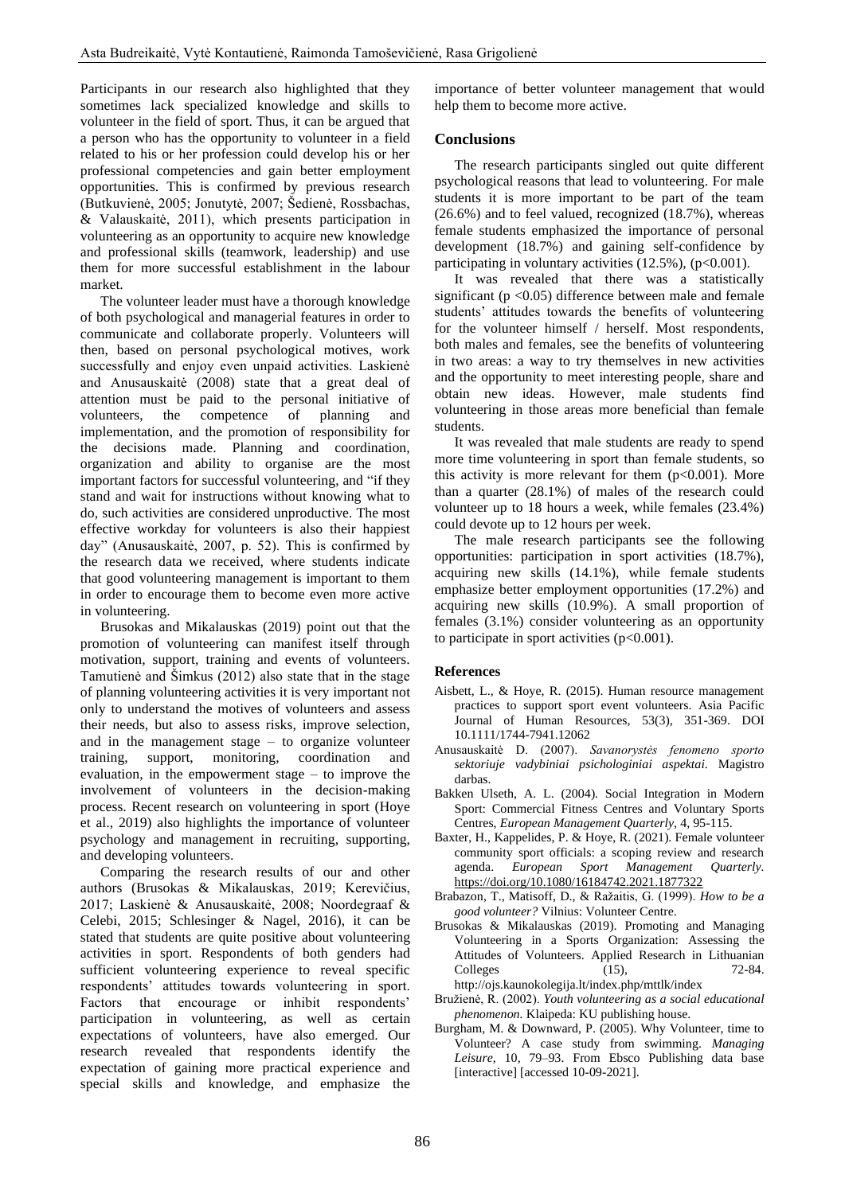Participants in our research also highlighted that they sometimes lack specialized knowledge and skills to volunteer in the field of sport. Thus, it can be argued that a person who has the opportunity to volunteer in a field related to his or her profession could develop his or her professional competencies and gain better employment opportunities. This is confirmed by previous research (Butkuvienė, 2005; Jonutytė, 2007; Šedienė, Rossbachas, & Valauskaitė, 2011), which presents participation in volunteering as an opportunity to acquire new knowledge and professional skills (teamwork, leadership) and use them for more successful establishment in the labour market.

The volunteer leader must have a thorough knowledge of both psychological and managerial features in order to communicate and collaborate properly. Volunteers will then, based on personal psychological motives, work successfully and enjoy even unpaid activities. Laskienė and Anusauskaitė (2008) state that a great deal of attention must be paid to the personal initiative of volunteers, the competence of planning and implementation, and the promotion of responsibility for the decisions made. Planning and coordination, organization and ability to organise are the most important factors for successful volunteering, and "if they stand and wait for instructions without knowing what to do, such activities are considered unproductive. The most effective workday for volunteers is also their happiest day" (Anusauskaitė, 2007, p. 52). This is confirmed by the research data we received, where students indicate that good volunteering management is important to them in order to encourage them to become even more active in volunteering.

Brusokas and Mikalauskas (2019) point out that the promotion of volunteering can manifest itself through motivation, support, training and events of volunteers. Tamutienė and Šimkus (2012) also state that in the stage of planning volunteering activities it is very important not only to understand the motives of volunteers and assess their needs, but also to assess risks, improve selection, and in the management stage – to organize volunteer training, support, monitoring, coordination and evaluation, in the empowerment stage – to improve the involvement of volunteers in the decision-making process. Recent research on volunteering in sport (Hoye et al., 2019) also highlights the importance of volunteer psychology and management in recruiting, supporting, and developing volunteers.

Comparing the research results of our and other authors (Brusokas & Mikalauskas, 2019; Kerevičius, 2017; Laskienė & Anusauskaitė, 2008; Noordegraaf & Celebi, 2015; Schlesinger & Nagel, 2016), it can be stated that students are quite positive about volunteering activities in sport. Respondents of both genders had sufficient volunteering experience to reveal specific respondents' attitudes towards volunteering in sport. Factors that encourage or inhibit respondents' participation in volunteering, as well as certain expectations of volunteers, have also emerged. Our research revealed that respondents identify the expectation of gaining more practical experience and special skills and knowledge, and emphasize the

importance of better volunteer management that would help them to become more active.

## **Conclusions**

The research participants singled out quite different psychological reasons that lead to volunteering. For male students it is more important to be part of the team (26.6%) and to feel valued, recognized (18.7%), whereas female students emphasized the importance of personal development (18.7%) and gaining self-confidence by participating in voluntary activities  $(12.5\%)$ ,  $(p<0.001)$ .

It was revealed that there was a statistically significant ( $p < 0.05$ ) difference between male and female students' attitudes towards the benefits of volunteering for the volunteer himself / herself. Most respondents, both males and females, see the benefits of volunteering in two areas: a way to try themselves in new activities and the opportunity to meet interesting people, share and obtain new ideas. However, male students find volunteering in those areas more beneficial than female students.

It was revealed that male students are ready to spend more time volunteering in sport than female students, so this activity is more relevant for them  $(p<0.001)$ . More than a quarter (28.1%) of males of the research could volunteer up to 18 hours a week, while females (23.4%) could devote up to 12 hours per week.

The male research participants see the following opportunities: participation in sport activities (18.7%), acquiring new skills (14.1%), while female students emphasize better employment opportunities (17.2%) and acquiring new skills (10.9%). A small proportion of females (3.1%) consider volunteering as an opportunity to participate in sport activities  $(p<0.001)$ .

### **References**

- Aisbett, L., & Hoye, R. (2015). Human resource management practices to support sport event volunteers. Asia Pacific Journal of Human Resources, 53(3), 351-369. DOI 10.1111/1744-7941.12062
- Anusauskaitė D. (2007). *Savanorystės fenomeno sporto sektoriuje vadybiniai psichologiniai aspektai.* Magistro darbas.
- Bakken Ulseth, A. L. (2004). Social Integration in Modern Sport: Commercial Fitness Centres and Voluntary Sports Centres, *European Management Quarterly*, 4, 95-115.
- [Baxter,](https://www.tandfonline.com/author/Baxter%2C+Haley) H., [Kappelides,](https://www.tandfonline.com/author/Kappelides%2C+Pam) P. [& Hoye,](https://www.tandfonline.com/author/Hoye%2C+Russell) R. (2021). Female volunteer community sport officials: a scoping review and research agenda. *[European Sport Management Quarterly.](https://www.tandfonline.com/toc/resm20/current)*  <https://doi.org/10.1080/16184742.2021.1877322>
- Brabazon, T., Matisoff, D., & Ražaitis, G. (1999). *How to be a good volunteer?* Vilnius: Volunteer Centre.
- Brusokas & Mikalauskas (2019). Promoting and Managing Volunteering in a Sports Organization: Assessing the Attitudes of Volunteers. Applied Research in Lithuanian Colleges (15), 72-84. <http://ojs.kaunokolegija.lt/index.php/mttlk/index>
- Bružienė, R. (2002). *Youth volunteering as a social educational phenomenon.* Klaipeda: KU publishing house.
- Burgham, M. & Downward, P. (2005). Why Volunteer, time to Volunteer? A case study from swimming. *Managing Leisure,* 10, 79–93. From Ebsco Publishing data base [interactive] [accessed 10-09-2021].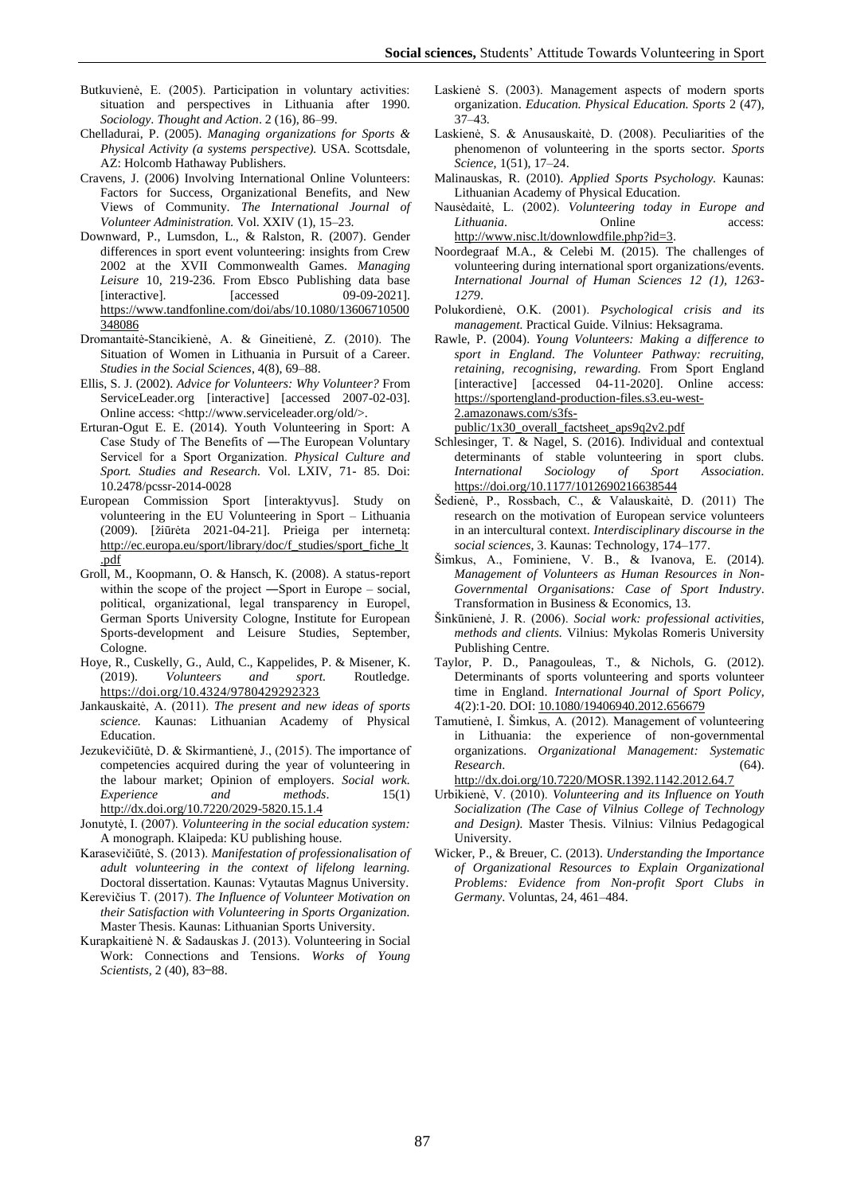- Butkuvienė, E. (2005). Participation in voluntary activities: situation and perspectives in Lithuania after 1990. *Sociology*. *Thought and Action*. 2 (16), 86–99.
- Chelladurai, P. (2005). *Managing organizations for Sports & Physical Activity (a systems perspective).* USA. Scottsdale, AZ: Holcomb Hathaway Publishers.
- Cravens, J. (2006) Involving International Online Volunteers: Factors for Success, Organizational Benefits, and New Views of Community. *The International Journal of Volunteer Administration.* Vol. XXIV (1), 15–23.
- Downward, P., Lumsdon, L., & Ralston, R. (2007). Gender differences in sport event volunteering: insights from Crew 2002 at the XVII Commonwealth Games. *Managing Leisure* 10, 219-236. From Ebsco Publishing data base [interactive]. [accessed 09-09-2021]. [https://www.tandfonline.com/doi/abs/10.1080/13606710500](https://www.tandfonline.com/doi/abs/10.1080/13606710500348086) [348086](https://www.tandfonline.com/doi/abs/10.1080/13606710500348086)
- Dromantaitė-Stancikienė, A. & Gineitienė, Z. (2010). The Situation of Women in Lithuania in Pursuit of a Career. *Studies in the Social Sciences*, 4(8), 69–88.
- Ellis, S. J. (2002). *Advice for Volunteers: Why Volunteer?* From ServiceLeader.org [interactive] [accessed 2007-02-03]. Online access: <http://www.serviceleader.org/old/>.
- Erturan-Ogut E. E. (2014). Youth Volunteering in Sport: A Case Study of The Benefits of ―The European Voluntary Service‖ for a Sport Organization. *Physical Culture and Sport. Studies and Research.* Vol. LXIV, 71- 85. Doi: 10.2478/pcssr-2014-0028
- European Commission Sport [interaktyvus]. Study on volunteering in the EU Volunteering in Sport – Lithuania (2009). [žiūrėta 2021-04-21]. Prieiga per internetą: [http://ec.europa.eu/sport/library/doc/f\\_studies/sport\\_fiche\\_lt](http://ec.europa.eu/sport/library/doc/f_studies/sport_fiche_lt.pdf) [.pdf](http://ec.europa.eu/sport/library/doc/f_studies/sport_fiche_lt.pdf)
- Groll, M., Koopmann, O. & Hansch, K. (2008). A status-report within the scope of the project —Sport in Europe – social, political, organizational, legal transparency in Europel, German Sports University Cologne, Institute for European Sports-development and Leisure Studies, September, Cologne.
- Hoye, R., Cuskelly, G., Auld, C., Kappelides, P. & Misener, K. (2019). *Volunteers and sport.* Routledge. <https://doi.org/10.4324/9780429292323>
- Jankauskaitė, A. (2011). *The present and new ideas of sports science.* Kaunas: Lithuanian Academy of Physical Education.
- Jezukevičiūtė, D. & Skirmantienė, J., (2015). The importance of competencies acquired during the year of volunteering in the labour market; Opinion of employers. *Social work. Experience* and *methods*. 15(1) <http://dx.doi.org/10.7220/2029-5820.15.1.4>
- Jonutytė, I. (2007). *Volunteering in the social education system:* A monograph. Klaipeda: KU publishing house.
- Karasevičiūtė, S. (2013). *Manifestation of professionalisation of adult volunteering in the context of lifelong learning.* Doctoral dissertation. Kaunas: Vytautas Magnus University.
- Kerevičius T. (2017). *The Influence of Volunteer Motivation on their Satisfaction with Volunteering in Sports Organization.* Master Thesis. Kaunas: Lithuanian Sports University.
- Kurapkaitienė N. & Sadauskas J. (2013). Volunteering in Social Work: Connections and Tensions. *Works of Young Scientists*, 2 (40), 83-88.
- Laskienė S. (2003). Management aspects of modern sports organization. *Education. Physical Education. Sports* 2 (47), 37–43.
- Laskienė, S. & Anusauskaitė, D. (2008). Peculiarities of the phenomenon of volunteering in the sports sector. *Sports Science*, 1(51), 17–24.
- Malinauskas, R. (2010). *Applied Sports Psychology.* Kaunas: Lithuanian Academy of Physical Education.
- Nausėdaitė, L. (2002). *Volunteering today in Europe and Lithuania*. **Confidence** Online access: [http://www.nisc.lt/downlowdfile.php?id=3.](http://www.nisc.lt/downlowdfile.php?id=3)
- Noordegraaf M.A., & Celebi M. (2015). The challenges of volunteering during international sport organizations/events. *International Journal of Human Sciences 12 (1), 1263- 1279*.
- Polukordienė, O.K. (2001). *Psychological crisis and its management.* Practical Guide. Vilnius: Heksagrama.
- Rawle, P. (2004). *Young Volunteers: Making a difference to sport in England. The Volunteer Pathway: recruiting, retaining, recognising, rewarding.* From Sport England [interactive] [accessed 04-11-2020]. Online access: [https://sportengland-production-files.s3.eu-west-](https://sportengland-production-files.s3.eu-west-2.amazonaws.com/s3fs-public/1x30_overall_factsheet_aps9q2v2.pdf)[2.amazonaws.com/s3fs-](https://sportengland-production-files.s3.eu-west-2.amazonaws.com/s3fs-public/1x30_overall_factsheet_aps9q2v2.pdf)

[public/1x30\\_overall\\_factsheet\\_aps9q2v2.pdf](https://sportengland-production-files.s3.eu-west-2.amazonaws.com/s3fs-public/1x30_overall_factsheet_aps9q2v2.pdf)

- Schlesinger, T. & Nagel, S. (2016). Individual and contextual determinants of stable volunteering in sport clubs. *[International Sociology of Sport Association.](https://issa1965.org/)* [https://doi.org/10.1177/1012690216638544](https://doi.org/10.1177%2F1012690216638544)
- Šedienė, P., Rossbach, C., & Valauskaitė, D. (2011) The research on the motivation of European service volunteers in an intercultural context. *Interdisciplinary discourse in the social sciences*, 3. Kaunas: Technology, 174–177.
- Šimkus, A., Fominiene, V. B., & Ivanova, E. (2014). *Management of Volunteers as Human Resources in Non-Governmental Organisations: Case of Sport Industry*. Transformation in Business & Economics, 13.
- Šinkūnienė, J. R. (2006). *Social work: professional activities, methods and clients.* Vilnius: Mykolas Romeris University Publishing Centre.
- [Taylor,](https://www.researchgate.net/scientific-contributions/Peter-Taylor-2002690767?_sg%5B0%5D=PQx7_-ePoCUrKVwynNSF9dd2lcJfL2-hXSSsncWVYJEF8l5OZQku77lE4rk9luQyvIeXxK4.PEWY0wjupFVdZKrsh9gZTN4BMAsOrof5o1T9dDb9NKZIP_X-nxaX7YCvGrgv_5oYDlls1GUbhhk6a4-zc0ZdYQ&_sg%5B1%5D=5m28p5F334qkVa_gd_zBAICHUXXZ8Ve17hV0Mkfozpo5blKG_SA9P6kPkIFdVgj0F5Jgync.0N3nd1WNyJPq5VMaKRithGtbvYR0daJgcFJsxkMDpuP_Dvwg9_KNG-U2SIqCwYID2sBE_2trWB_NlkLhBpsBMg) P. D., [Panagouleas,](https://www.researchgate.net/scientific-contributions/Thanos-Panagouleas-2014805449?_sg%5B0%5D=PQx7_-ePoCUrKVwynNSF9dd2lcJfL2-hXSSsncWVYJEF8l5OZQku77lE4rk9luQyvIeXxK4.PEWY0wjupFVdZKrsh9gZTN4BMAsOrof5o1T9dDb9NKZIP_X-nxaX7YCvGrgv_5oYDlls1GUbhhk6a4-zc0ZdYQ&_sg%5B1%5D=5m28p5F334qkVa_gd_zBAICHUXXZ8Ve17hV0Mkfozpo5blKG_SA9P6kPkIFdVgj0F5Jgync.0N3nd1WNyJPq5VMaKRithGtbvYR0daJgcFJsxkMDpuP_Dvwg9_KNG-U2SIqCwYID2sBE_2trWB_NlkLhBpsBMg) T., & [Nichols,](https://www.researchgate.net/scientific-contributions/Geoff-Nichols-2002504301?_sg%5B0%5D=PQx7_-ePoCUrKVwynNSF9dd2lcJfL2-hXSSsncWVYJEF8l5OZQku77lE4rk9luQyvIeXxK4.PEWY0wjupFVdZKrsh9gZTN4BMAsOrof5o1T9dDb9NKZIP_X-nxaX7YCvGrgv_5oYDlls1GUbhhk6a4-zc0ZdYQ&_sg%5B1%5D=5m28p5F334qkVa_gd_zBAICHUXXZ8Ve17hV0Mkfozpo5blKG_SA9P6kPkIFdVgj0F5Jgync.0N3nd1WNyJPq5VMaKRithGtbvYR0daJgcFJsxkMDpuP_Dvwg9_KNG-U2SIqCwYID2sBE_2trWB_NlkLhBpsBMg) G. (2012). Determinants of sports volunteering and sports volunteer time in England. *International Journal of Sport Policy*, 4(2):1-20. DOI: [10.1080/19406940.2012.656679](http://dx.doi.org/10.1080/19406940.2012.656679)
- Tamutienė, I. Šimkus, A. (2012). Management of volunteering in Lithuania: the experience of non-governmental organizations. *Organizational Management: Systematic Research*. (64). <http://dx.doi.org/10.7220/MOSR.1392.1142.2012.64.7>
- Urbikienė, V. (2010). *Volunteering and its Influence on Youth Socialization (The Case of Vilnius College of Technology and Design).* Master Thesis. Vilnius: Vilnius Pedagogical University.
- Wicker, P., & Breuer, C. (2013). *Understanding the Importance of Organizational Resources to Explain Organizational Problems: Evidence from Non-profit Sport Clubs in Germany*. Voluntas, 24, 461–484.